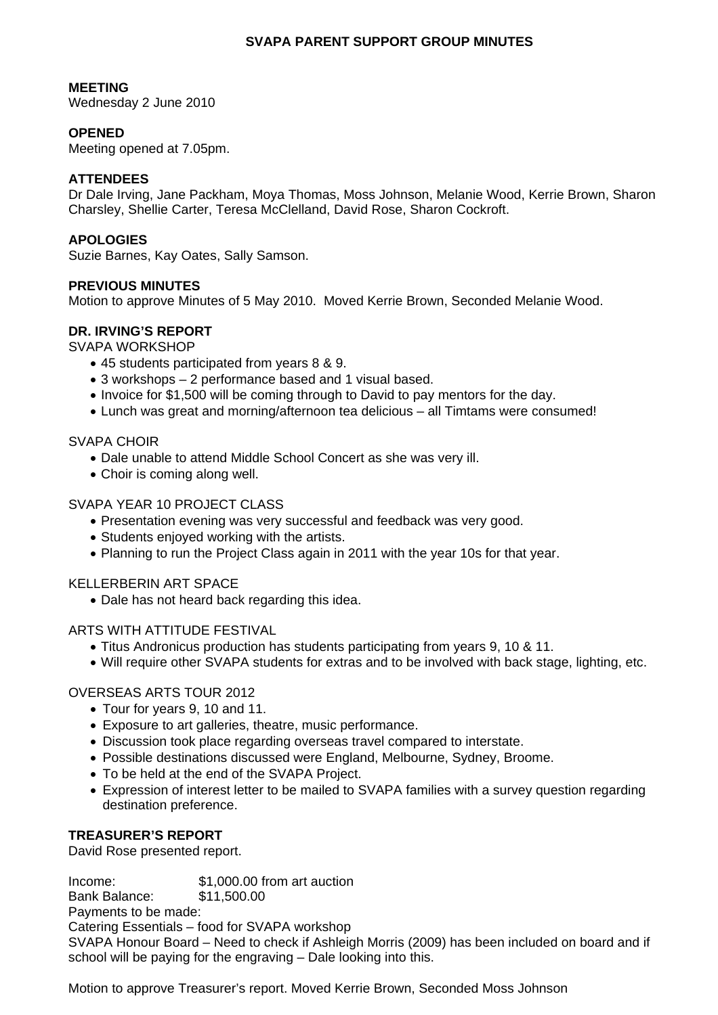## **SVAPA PARENT SUPPORT GROUP MINUTES**

### **MEETING**

Wednesday 2 June 2010

## **OPENED**

Meeting opened at 7.05pm.

### **ATTENDEES**

Dr Dale Irving, Jane Packham, Moya Thomas, Moss Johnson, Melanie Wood, Kerrie Brown, Sharon Charsley, Shellie Carter, Teresa McClelland, David Rose, Sharon Cockroft.

#### **APOLOGIES**

Suzie Barnes, Kay Oates, Sally Samson.

# **PREVIOUS MINUTES**

Motion to approve Minutes of 5 May 2010. Moved Kerrie Brown, Seconded Melanie Wood.

### **DR. IRVING'S REPORT**

SVAPA WORKSHOP

- 45 students participated from years 8 & 9.
- 3 workshops 2 performance based and 1 visual based.
- Invoice for \$1,500 will be coming through to David to pay mentors for the day.
- Lunch was great and morning/afternoon tea delicious all Timtams were consumed!

## SVAPA CHOIR

- Dale unable to attend Middle School Concert as she was very ill.
- Choir is coming along well.

## SVAPA YEAR 10 PROJECT CLASS

- Presentation evening was very successful and feedback was very good.
- Students enjoyed working with the artists.
- Planning to run the Project Class again in 2011 with the year 10s for that year.

#### KELLERBERIN ART SPACE

• Dale has not heard back regarding this idea.

#### ARTS WITH ATTITUDE FESTIVAL

- Titus Andronicus production has students participating from years 9, 10 & 11.
- Will require other SVAPA students for extras and to be involved with back stage, lighting, etc.

# OVERSEAS ARTS TOUR 2012

- Tour for years 9, 10 and 11.
- Exposure to art galleries, theatre, music performance.
- Discussion took place regarding overseas travel compared to interstate.
- Possible destinations discussed were England, Melbourne, Sydney, Broome.
- To be held at the end of the SVAPA Project.
- Expression of interest letter to be mailed to SVAPA families with a survey question regarding destination preference.

# **TREASURER'S REPORT**

David Rose presented report.

Income: \$1,000.00 from art auction Bank Balance: \$11,500.00 Payments to be made: Catering Essentials – food for SVAPA workshop SVAPA Honour Board – Need to check if Ashleigh Morris (2009) has been included on board and if school will be paying for the engraving – Dale looking into this.

Motion to approve Treasurer's report. Moved Kerrie Brown, Seconded Moss Johnson